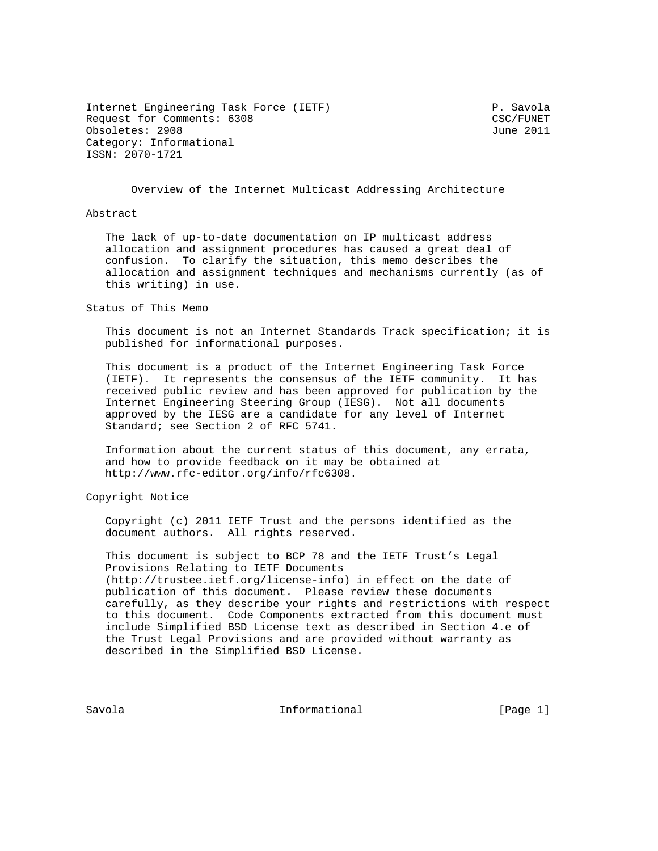Internet Engineering Task Force (IETF) P. Savola Request for Comments: 6308 CSC/FUNET Obsoletes: 2908 June 2011 Category: Informational ISSN: 2070-1721

Overview of the Internet Multicast Addressing Architecture

#### Abstract

 The lack of up-to-date documentation on IP multicast address allocation and assignment procedures has caused a great deal of confusion. To clarify the situation, this memo describes the allocation and assignment techniques and mechanisms currently (as of this writing) in use.

Status of This Memo

 This document is not an Internet Standards Track specification; it is published for informational purposes.

 This document is a product of the Internet Engineering Task Force (IETF). It represents the consensus of the IETF community. It has received public review and has been approved for publication by the Internet Engineering Steering Group (IESG). Not all documents approved by the IESG are a candidate for any level of Internet Standard; see Section 2 of RFC 5741.

 Information about the current status of this document, any errata, and how to provide feedback on it may be obtained at http://www.rfc-editor.org/info/rfc6308.

Copyright Notice

 Copyright (c) 2011 IETF Trust and the persons identified as the document authors. All rights reserved.

 This document is subject to BCP 78 and the IETF Trust's Legal Provisions Relating to IETF Documents (http://trustee.ietf.org/license-info) in effect on the date of publication of this document. Please review these documents carefully, as they describe your rights and restrictions with respect to this document. Code Components extracted from this document must include Simplified BSD License text as described in Section 4.e of the Trust Legal Provisions and are provided without warranty as described in the Simplified BSD License.

Savola **Informational Informational** [Page 1]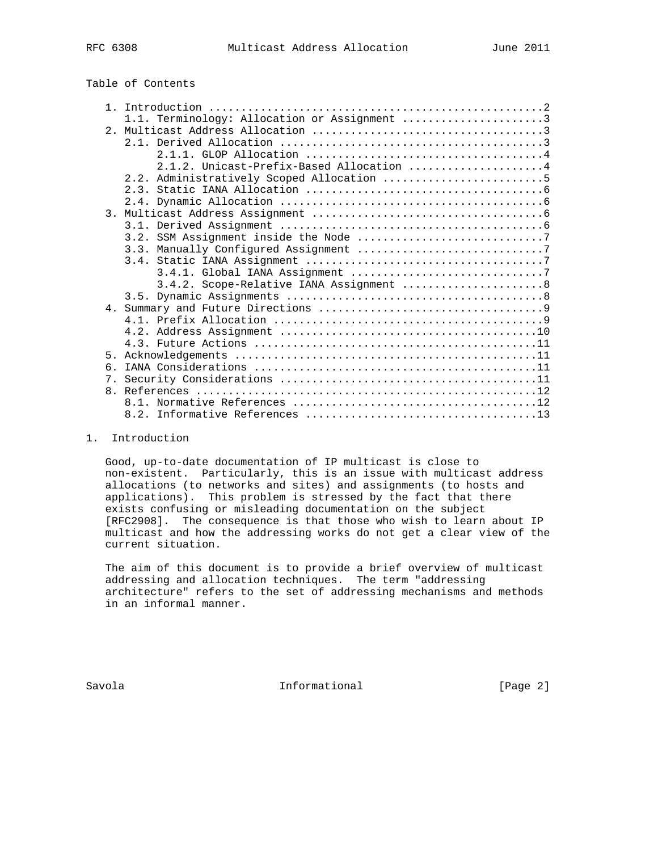# Table of Contents

|                | 1.1. Terminology: Allocation or Assignment 3 |
|----------------|----------------------------------------------|
|                |                                              |
|                |                                              |
|                |                                              |
|                | 2.1.2. Unicast-Prefix-Based Allocation 4     |
|                | 2.2. Administratively Scoped Allocation 5    |
|                |                                              |
|                |                                              |
|                |                                              |
|                |                                              |
|                |                                              |
|                |                                              |
|                |                                              |
|                |                                              |
|                | 3.4.2. Scope-Relative IANA Assignment  8     |
|                |                                              |
|                |                                              |
|                |                                              |
|                |                                              |
|                |                                              |
| 5 <sub>1</sub> |                                              |
| 6.             |                                              |
|                |                                              |
|                |                                              |
|                |                                              |
|                |                                              |

# 1. Introduction

 Good, up-to-date documentation of IP multicast is close to non-existent. Particularly, this is an issue with multicast address allocations (to networks and sites) and assignments (to hosts and applications). This problem is stressed by the fact that there exists confusing or misleading documentation on the subject [RFC2908]. The consequence is that those who wish to learn about IP multicast and how the addressing works do not get a clear view of the current situation.

 The aim of this document is to provide a brief overview of multicast addressing and allocation techniques. The term "addressing architecture" refers to the set of addressing mechanisms and methods in an informal manner.

Savola **Informational Informational** [Page 2]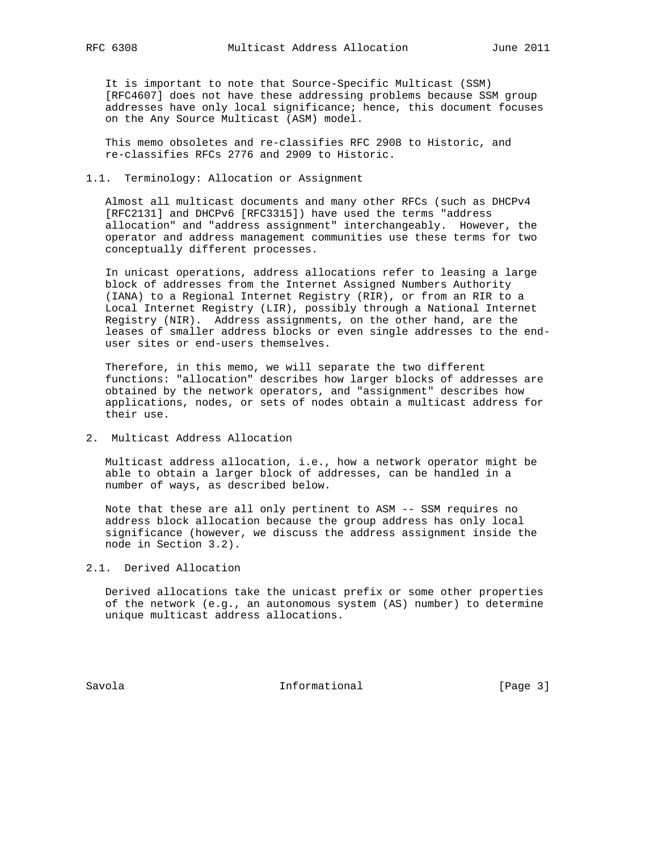It is important to note that Source-Specific Multicast (SSM) [RFC4607] does not have these addressing problems because SSM group addresses have only local significance; hence, this document focuses on the Any Source Multicast (ASM) model.

 This memo obsoletes and re-classifies RFC 2908 to Historic, and re-classifies RFCs 2776 and 2909 to Historic.

#### 1.1. Terminology: Allocation or Assignment

 Almost all multicast documents and many other RFCs (such as DHCPv4 [RFC2131] and DHCPv6 [RFC3315]) have used the terms "address allocation" and "address assignment" interchangeably. However, the operator and address management communities use these terms for two conceptually different processes.

 In unicast operations, address allocations refer to leasing a large block of addresses from the Internet Assigned Numbers Authority (IANA) to a Regional Internet Registry (RIR), or from an RIR to a Local Internet Registry (LIR), possibly through a National Internet Registry (NIR). Address assignments, on the other hand, are the leases of smaller address blocks or even single addresses to the end user sites or end-users themselves.

 Therefore, in this memo, we will separate the two different functions: "allocation" describes how larger blocks of addresses are obtained by the network operators, and "assignment" describes how applications, nodes, or sets of nodes obtain a multicast address for their use.

2. Multicast Address Allocation

 Multicast address allocation, i.e., how a network operator might be able to obtain a larger block of addresses, can be handled in a number of ways, as described below.

 Note that these are all only pertinent to ASM -- SSM requires no address block allocation because the group address has only local significance (however, we discuss the address assignment inside the node in Section 3.2).

# 2.1. Derived Allocation

 Derived allocations take the unicast prefix or some other properties of the network (e.g., an autonomous system (AS) number) to determine unique multicast address allocations.

Savola **Informational Informational** [Page 3]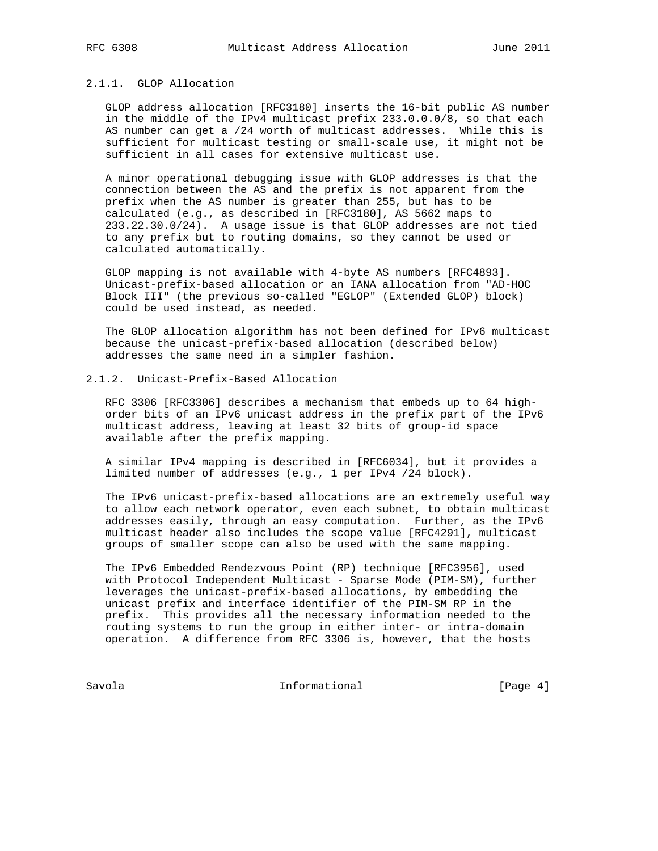# 2.1.1. GLOP Allocation

 GLOP address allocation [RFC3180] inserts the 16-bit public AS number in the middle of the IPv4 multicast prefix 233.0.0.0/8, so that each AS number can get a /24 worth of multicast addresses. While this is sufficient for multicast testing or small-scale use, it might not be sufficient in all cases for extensive multicast use.

 A minor operational debugging issue with GLOP addresses is that the connection between the AS and the prefix is not apparent from the prefix when the AS number is greater than 255, but has to be calculated (e.g., as described in [RFC3180], AS 5662 maps to 233.22.30.0/24). A usage issue is that GLOP addresses are not tied to any prefix but to routing domains, so they cannot be used or calculated automatically.

 GLOP mapping is not available with 4-byte AS numbers [RFC4893]. Unicast-prefix-based allocation or an IANA allocation from "AD-HOC Block III" (the previous so-called "EGLOP" (Extended GLOP) block) could be used instead, as needed.

 The GLOP allocation algorithm has not been defined for IPv6 multicast because the unicast-prefix-based allocation (described below) addresses the same need in a simpler fashion.

# 2.1.2. Unicast-Prefix-Based Allocation

 RFC 3306 [RFC3306] describes a mechanism that embeds up to 64 high order bits of an IPv6 unicast address in the prefix part of the IPv6 multicast address, leaving at least 32 bits of group-id space available after the prefix mapping.

 A similar IPv4 mapping is described in [RFC6034], but it provides a limited number of addresses (e.g., 1 per IPv4 /24 block).

 The IPv6 unicast-prefix-based allocations are an extremely useful way to allow each network operator, even each subnet, to obtain multicast addresses easily, through an easy computation. Further, as the IPv6 multicast header also includes the scope value [RFC4291], multicast groups of smaller scope can also be used with the same mapping.

 The IPv6 Embedded Rendezvous Point (RP) technique [RFC3956], used with Protocol Independent Multicast - Sparse Mode (PIM-SM), further leverages the unicast-prefix-based allocations, by embedding the unicast prefix and interface identifier of the PIM-SM RP in the prefix. This provides all the necessary information needed to the routing systems to run the group in either inter- or intra-domain operation. A difference from RFC 3306 is, however, that the hosts

Savola **Informational** Informational [Page 4]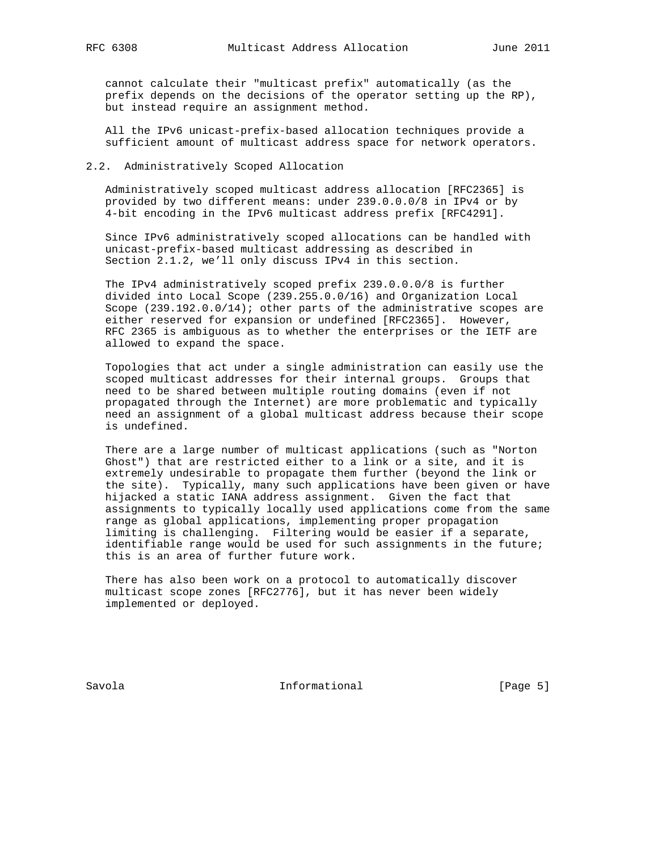cannot calculate their "multicast prefix" automatically (as the prefix depends on the decisions of the operator setting up the RP), but instead require an assignment method.

 All the IPv6 unicast-prefix-based allocation techniques provide a sufficient amount of multicast address space for network operators.

# 2.2. Administratively Scoped Allocation

 Administratively scoped multicast address allocation [RFC2365] is provided by two different means: under 239.0.0.0/8 in IPv4 or by 4-bit encoding in the IPv6 multicast address prefix [RFC4291].

 Since IPv6 administratively scoped allocations can be handled with unicast-prefix-based multicast addressing as described in Section 2.1.2, we'll only discuss IPv4 in this section.

 The IPv4 administratively scoped prefix 239.0.0.0/8 is further divided into Local Scope (239.255.0.0/16) and Organization Local Scope (239.192.0.0/14); other parts of the administrative scopes are either reserved for expansion or undefined [RFC2365]. However, RFC 2365 is ambiguous as to whether the enterprises or the IETF are allowed to expand the space.

 Topologies that act under a single administration can easily use the scoped multicast addresses for their internal groups. Groups that need to be shared between multiple routing domains (even if not propagated through the Internet) are more problematic and typically need an assignment of a global multicast address because their scope is undefined.

 There are a large number of multicast applications (such as "Norton Ghost") that are restricted either to a link or a site, and it is extremely undesirable to propagate them further (beyond the link or the site). Typically, many such applications have been given or have hijacked a static IANA address assignment. Given the fact that assignments to typically locally used applications come from the same range as global applications, implementing proper propagation limiting is challenging. Filtering would be easier if a separate, identifiable range would be used for such assignments in the future; this is an area of further future work.

 There has also been work on a protocol to automatically discover multicast scope zones [RFC2776], but it has never been widely implemented or deployed.

Savola **Informational Informational** [Page 5]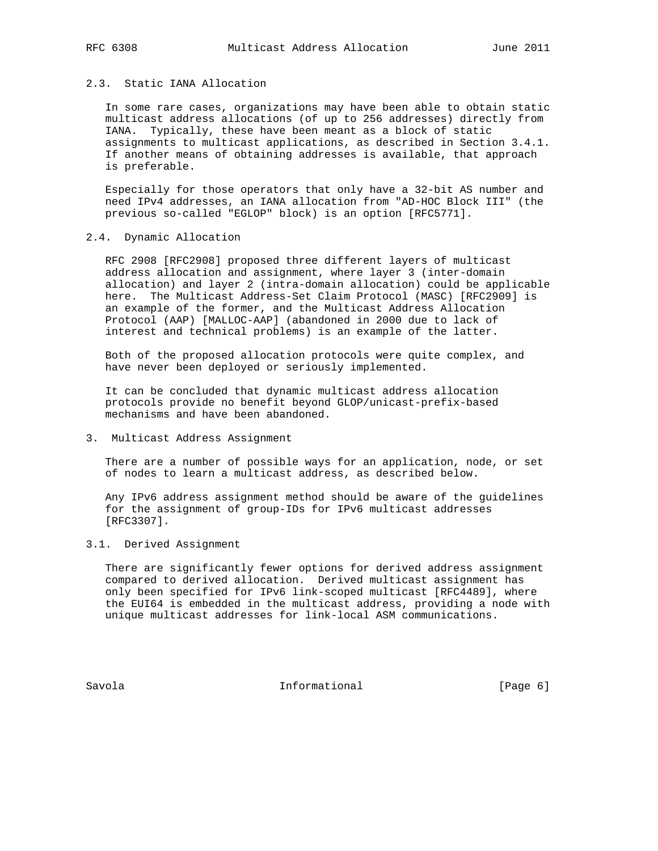# 2.3. Static IANA Allocation

 In some rare cases, organizations may have been able to obtain static multicast address allocations (of up to 256 addresses) directly from IANA. Typically, these have been meant as a block of static assignments to multicast applications, as described in Section 3.4.1. If another means of obtaining addresses is available, that approach is preferable.

 Especially for those operators that only have a 32-bit AS number and need IPv4 addresses, an IANA allocation from "AD-HOC Block III" (the previous so-called "EGLOP" block) is an option [RFC5771].

# 2.4. Dynamic Allocation

 RFC 2908 [RFC2908] proposed three different layers of multicast address allocation and assignment, where layer 3 (inter-domain allocation) and layer 2 (intra-domain allocation) could be applicable here. The Multicast Address-Set Claim Protocol (MASC) [RFC2909] is an example of the former, and the Multicast Address Allocation Protocol (AAP) [MALLOC-AAP] (abandoned in 2000 due to lack of interest and technical problems) is an example of the latter.

 Both of the proposed allocation protocols were quite complex, and have never been deployed or seriously implemented.

 It can be concluded that dynamic multicast address allocation protocols provide no benefit beyond GLOP/unicast-prefix-based mechanisms and have been abandoned.

#### 3. Multicast Address Assignment

 There are a number of possible ways for an application, node, or set of nodes to learn a multicast address, as described below.

 Any IPv6 address assignment method should be aware of the guidelines for the assignment of group-IDs for IPv6 multicast addresses [RFC3307].

### 3.1. Derived Assignment

 There are significantly fewer options for derived address assignment compared to derived allocation. Derived multicast assignment has only been specified for IPv6 link-scoped multicast [RFC4489], where the EUI64 is embedded in the multicast address, providing a node with unique multicast addresses for link-local ASM communications.

Savola **Informational Informational** [Page 6]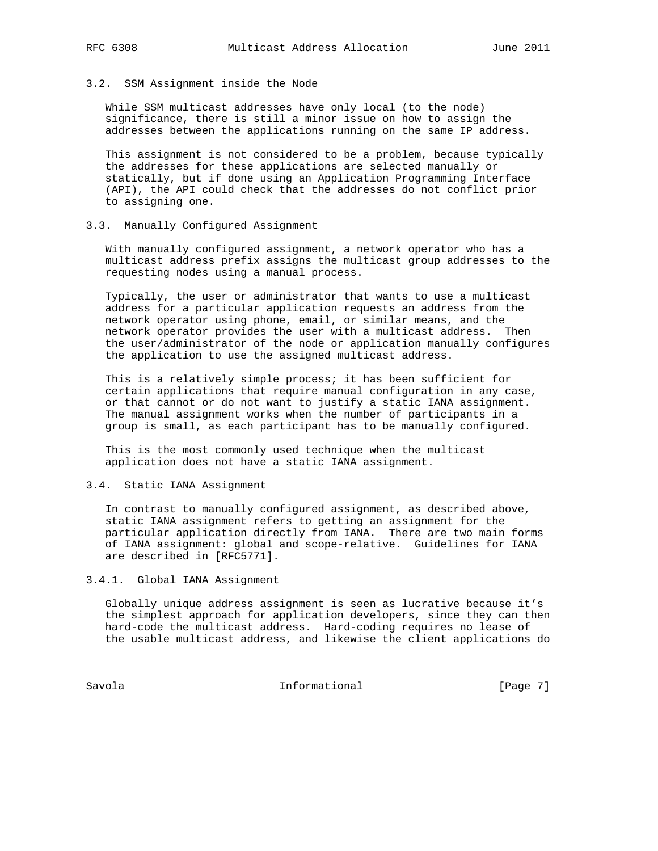## 3.2. SSM Assignment inside the Node

 While SSM multicast addresses have only local (to the node) significance, there is still a minor issue on how to assign the addresses between the applications running on the same IP address.

 This assignment is not considered to be a problem, because typically the addresses for these applications are selected manually or statically, but if done using an Application Programming Interface (API), the API could check that the addresses do not conflict prior to assigning one.

## 3.3. Manually Configured Assignment

 With manually configured assignment, a network operator who has a multicast address prefix assigns the multicast group addresses to the requesting nodes using a manual process.

 Typically, the user or administrator that wants to use a multicast address for a particular application requests an address from the network operator using phone, email, or similar means, and the network operator provides the user with a multicast address. Then the user/administrator of the node or application manually configures the application to use the assigned multicast address.

 This is a relatively simple process; it has been sufficient for certain applications that require manual configuration in any case, or that cannot or do not want to justify a static IANA assignment. The manual assignment works when the number of participants in a group is small, as each participant has to be manually configured.

 This is the most commonly used technique when the multicast application does not have a static IANA assignment.

# 3.4. Static IANA Assignment

 In contrast to manually configured assignment, as described above, static IANA assignment refers to getting an assignment for the particular application directly from IANA. There are two main forms of IANA assignment: global and scope-relative. Guidelines for IANA are described in [RFC5771].

3.4.1. Global IANA Assignment

 Globally unique address assignment is seen as lucrative because it's the simplest approach for application developers, since they can then hard-code the multicast address. Hard-coding requires no lease of the usable multicast address, and likewise the client applications do

Savola **Informational** Informational [Page 7]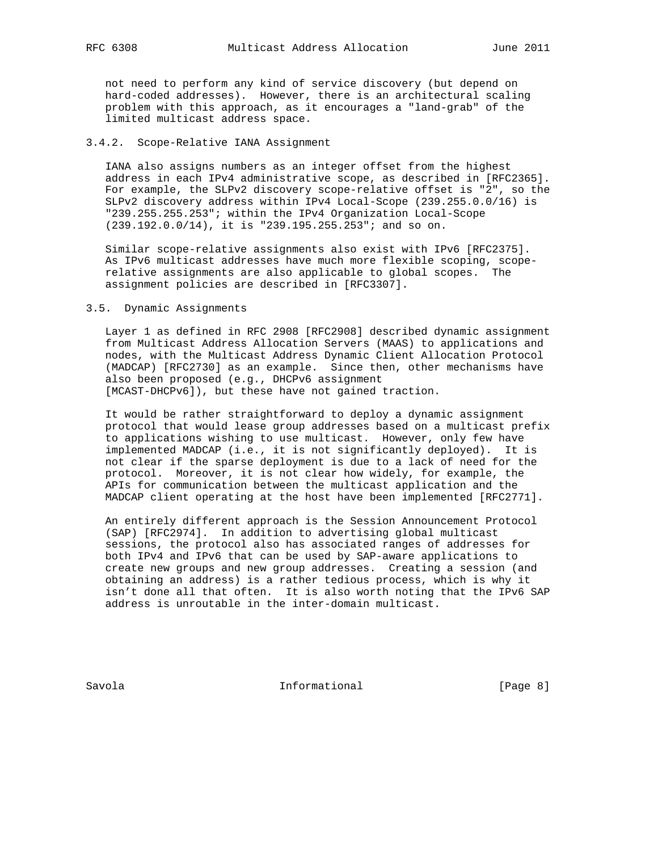not need to perform any kind of service discovery (but depend on hard-coded addresses). However, there is an architectural scaling problem with this approach, as it encourages a "land-grab" of the limited multicast address space.

# 3.4.2. Scope-Relative IANA Assignment

 IANA also assigns numbers as an integer offset from the highest address in each IPv4 administrative scope, as described in [RFC2365]. For example, the SLPv2 discovery scope-relative offset is "2", so the SLPv2 discovery address within IPv4 Local-Scope (239.255.0.0/16) is "239.255.255.253"; within the IPv4 Organization Local-Scope (239.192.0.0/14), it is "239.195.255.253"; and so on.

 Similar scope-relative assignments also exist with IPv6 [RFC2375]. As IPv6 multicast addresses have much more flexible scoping, scope relative assignments are also applicable to global scopes. The assignment policies are described in [RFC3307].

#### 3.5. Dynamic Assignments

 Layer 1 as defined in RFC 2908 [RFC2908] described dynamic assignment from Multicast Address Allocation Servers (MAAS) to applications and nodes, with the Multicast Address Dynamic Client Allocation Protocol (MADCAP) [RFC2730] as an example. Since then, other mechanisms have also been proposed (e.g., DHCPv6 assignment [MCAST-DHCPv6]), but these have not gained traction.

 It would be rather straightforward to deploy a dynamic assignment protocol that would lease group addresses based on a multicast prefix to applications wishing to use multicast. However, only few have implemented MADCAP (i.e., it is not significantly deployed). It is not clear if the sparse deployment is due to a lack of need for the protocol. Moreover, it is not clear how widely, for example, the APIs for communication between the multicast application and the MADCAP client operating at the host have been implemented [RFC2771].

 An entirely different approach is the Session Announcement Protocol (SAP) [RFC2974]. In addition to advertising global multicast sessions, the protocol also has associated ranges of addresses for both IPv4 and IPv6 that can be used by SAP-aware applications to create new groups and new group addresses. Creating a session (and obtaining an address) is a rather tedious process, which is why it isn't done all that often. It is also worth noting that the IPv6 SAP address is unroutable in the inter-domain multicast.

Savola **Informational Informational** [Page 8]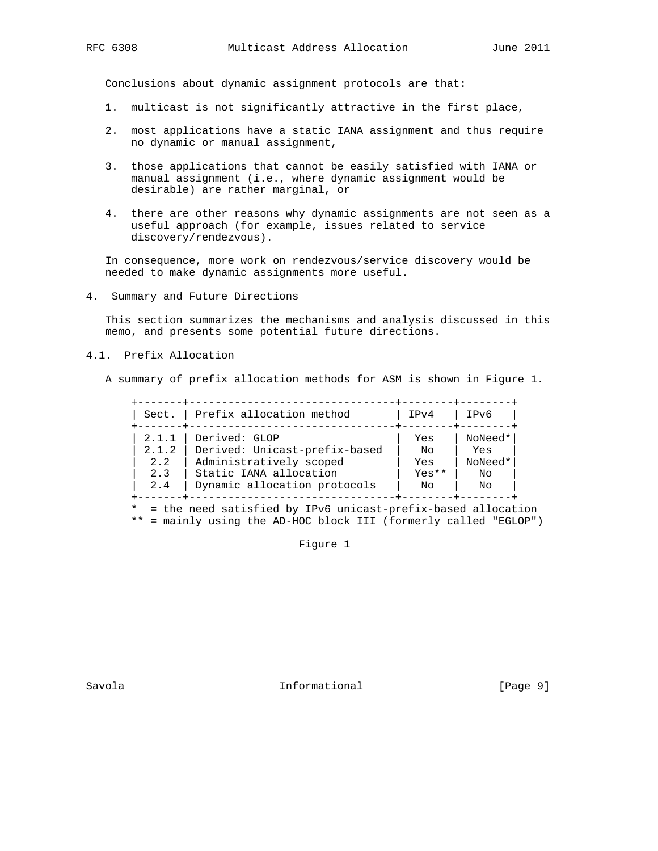Conclusions about dynamic assignment protocols are that:

- 1. multicast is not significantly attractive in the first place,
- 2. most applications have a static IANA assignment and thus require no dynamic or manual assignment,
- 3. those applications that cannot be easily satisfied with IANA or manual assignment (i.e., where dynamic assignment would be desirable) are rather marginal, or
- 4. there are other reasons why dynamic assignments are not seen as a useful approach (for example, issues related to service discovery/rendezvous).

 In consequence, more work on rendezvous/service discovery would be needed to make dynamic assignments more useful.

4. Summary and Future Directions

 This section summarizes the mechanisms and analysis discussed in this memo, and presents some potential future directions.

# 4.1. Prefix Allocation

A summary of prefix allocation methods for ASM is shown in Figure 1.

|       | Sect.   Prefix allocation method | IPv4    | IPv6    |
|-------|----------------------------------|---------|---------|
| 2.1.1 | Derived: GLOP                    | Yes     | NoNeed* |
| 2.1.2 | Derived: Unicast-prefix-based    | No      | Yes     |
| 2.2   | Administratively scoped          | Yes     | NoNeed* |
| 2.3   | Static IANA allocation           | $Yes**$ | Νo      |
| 2.4   | Dynamic allocation protocols     | No      | No      |

\*\* = mainly using the AD-HOC block III (formerly called "EGLOP")

Figure 1

Savola **Informational Informational** [Page 9]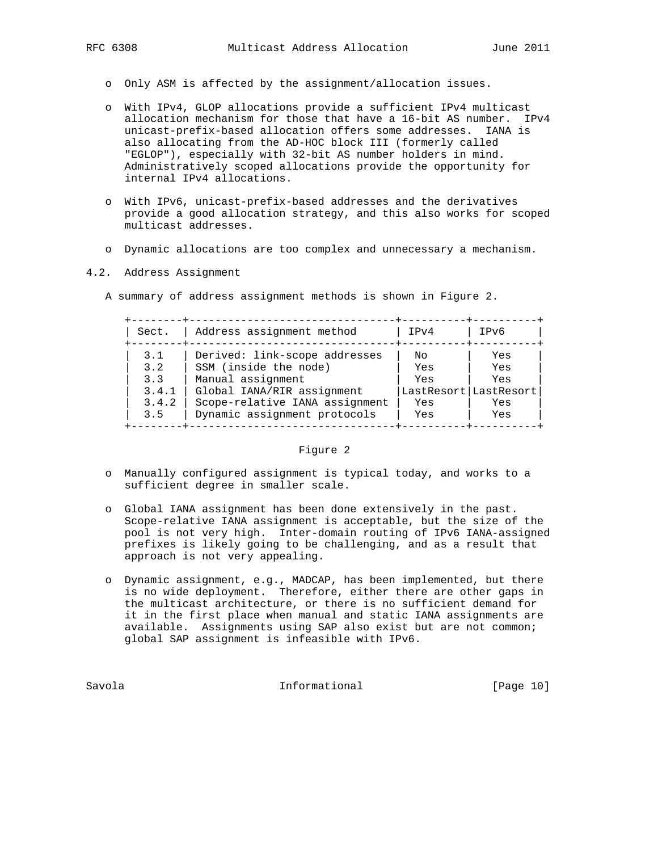- o Only ASM is affected by the assignment/allocation issues.
- o With IPv4, GLOP allocations provide a sufficient IPv4 multicast allocation mechanism for those that have a 16-bit AS number. IPv4 unicast-prefix-based allocation offers some addresses. IANA is also allocating from the AD-HOC block III (formerly called "EGLOP"), especially with 32-bit AS number holders in mind. Administratively scoped allocations provide the opportunity for internal IPv4 allocations.
- o With IPv6, unicast-prefix-based addresses and the derivatives provide a good allocation strategy, and this also works for scoped multicast addresses.
- o Dynamic allocations are too complex and unnecessary a mechanism.

## 4.2. Address Assignment

A summary of address assignment methods is shown in Figure 2.

| Sect. | Address assignment method      | TP <sub>V</sub> 4     | IPv6 |
|-------|--------------------------------|-----------------------|------|
| 3.1   | Derived: link-scope addresses  | Nο                    | Yes  |
| 3.2   | SSM (inside the node)          | Yes                   | Yes  |
| 3.3   | Manual assignment              | Yes                   | Yes  |
| 3.4.1 | Global IANA/RIR assignment     | LastResort LastResort |      |
| 3.4.2 | Scope-relative IANA assignment | Yes                   | Yes  |
| 3.5   | Dynamic assignment protocols   | Yes                   | Yes  |

# Figure 2

- o Manually configured assignment is typical today, and works to a sufficient degree in smaller scale.
- o Global IANA assignment has been done extensively in the past. Scope-relative IANA assignment is acceptable, but the size of the pool is not very high. Inter-domain routing of IPv6 IANA-assigned prefixes is likely going to be challenging, and as a result that approach is not very appealing.
- o Dynamic assignment, e.g., MADCAP, has been implemented, but there is no wide deployment. Therefore, either there are other gaps in the multicast architecture, or there is no sufficient demand for it in the first place when manual and static IANA assignments are available. Assignments using SAP also exist but are not common; global SAP assignment is infeasible with IPv6.

Savola **Informational** [Page 10]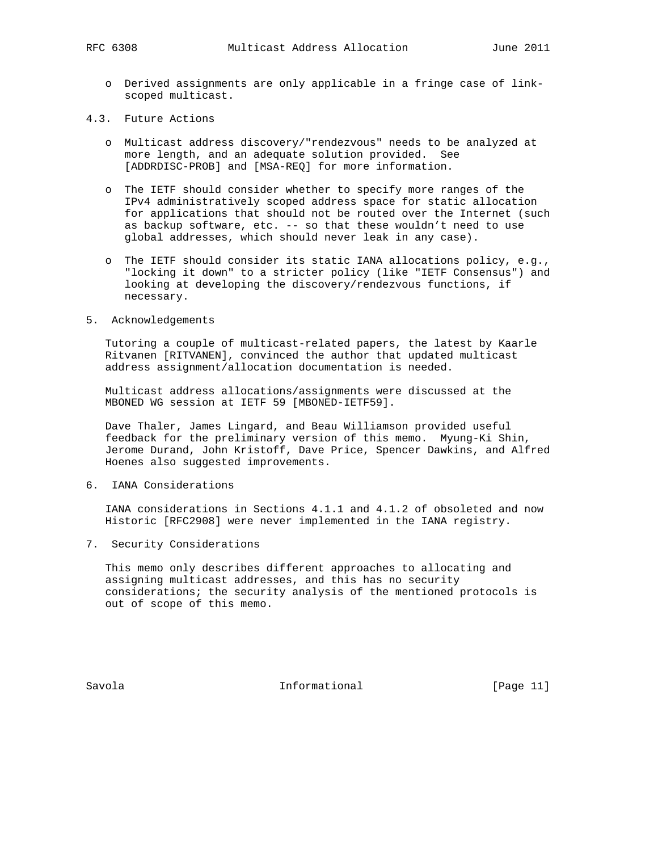- o Derived assignments are only applicable in a fringe case of link scoped multicast.
- 4.3. Future Actions
	- o Multicast address discovery/"rendezvous" needs to be analyzed at more length, and an adequate solution provided. See [ADDRDISC-PROB] and [MSA-REQ] for more information.
	- o The IETF should consider whether to specify more ranges of the IPv4 administratively scoped address space for static allocation for applications that should not be routed over the Internet (such as backup software, etc. -- so that these wouldn't need to use global addresses, which should never leak in any case).
	- o The IETF should consider its static IANA allocations policy, e.g., "locking it down" to a stricter policy (like "IETF Consensus") and looking at developing the discovery/rendezvous functions, if necessary.
- 5. Acknowledgements

 Tutoring a couple of multicast-related papers, the latest by Kaarle Ritvanen [RITVANEN], convinced the author that updated multicast address assignment/allocation documentation is needed.

 Multicast address allocations/assignments were discussed at the MBONED WG session at IETF 59 [MBONED-IETF59].

 Dave Thaler, James Lingard, and Beau Williamson provided useful feedback for the preliminary version of this memo. Myung-Ki Shin, Jerome Durand, John Kristoff, Dave Price, Spencer Dawkins, and Alfred Hoenes also suggested improvements.

6. IANA Considerations

 IANA considerations in Sections 4.1.1 and 4.1.2 of obsoleted and now Historic [RFC2908] were never implemented in the IANA registry.

7. Security Considerations

 This memo only describes different approaches to allocating and assigning multicast addresses, and this has no security considerations; the security analysis of the mentioned protocols is out of scope of this memo.

Savola **Informational** [Page 11]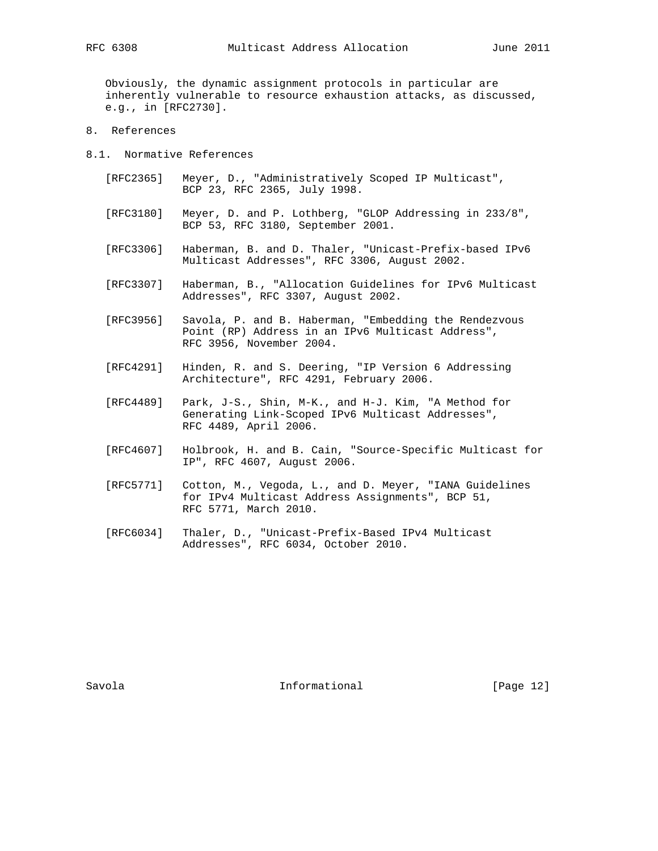Obviously, the dynamic assignment protocols in particular are inherently vulnerable to resource exhaustion attacks, as discussed, e.g., in [RFC2730].

- 8. References
- 8.1. Normative References
	- [RFC2365] Meyer, D., "Administratively Scoped IP Multicast", BCP 23, RFC 2365, July 1998.
	- [RFC3180] Meyer, D. and P. Lothberg, "GLOP Addressing in 233/8", BCP 53, RFC 3180, September 2001.
	- [RFC3306] Haberman, B. and D. Thaler, "Unicast-Prefix-based IPv6 Multicast Addresses", RFC 3306, August 2002.
	- [RFC3307] Haberman, B., "Allocation Guidelines for IPv6 Multicast Addresses", RFC 3307, August 2002.
	- [RFC3956] Savola, P. and B. Haberman, "Embedding the Rendezvous Point (RP) Address in an IPv6 Multicast Address", RFC 3956, November 2004.
	- [RFC4291] Hinden, R. and S. Deering, "IP Version 6 Addressing Architecture", RFC 4291, February 2006.
	- [RFC4489] Park, J-S., Shin, M-K., and H-J. Kim, "A Method for Generating Link-Scoped IPv6 Multicast Addresses", RFC 4489, April 2006.
	- [RFC4607] Holbrook, H. and B. Cain, "Source-Specific Multicast for IP", RFC 4607, August 2006.
	- [RFC5771] Cotton, M., Vegoda, L., and D. Meyer, "IANA Guidelines for IPv4 Multicast Address Assignments", BCP 51, RFC 5771, March 2010.
	- [RFC6034] Thaler, D., "Unicast-Prefix-Based IPv4 Multicast Addresses", RFC 6034, October 2010.

Savola **Informational** [Page 12]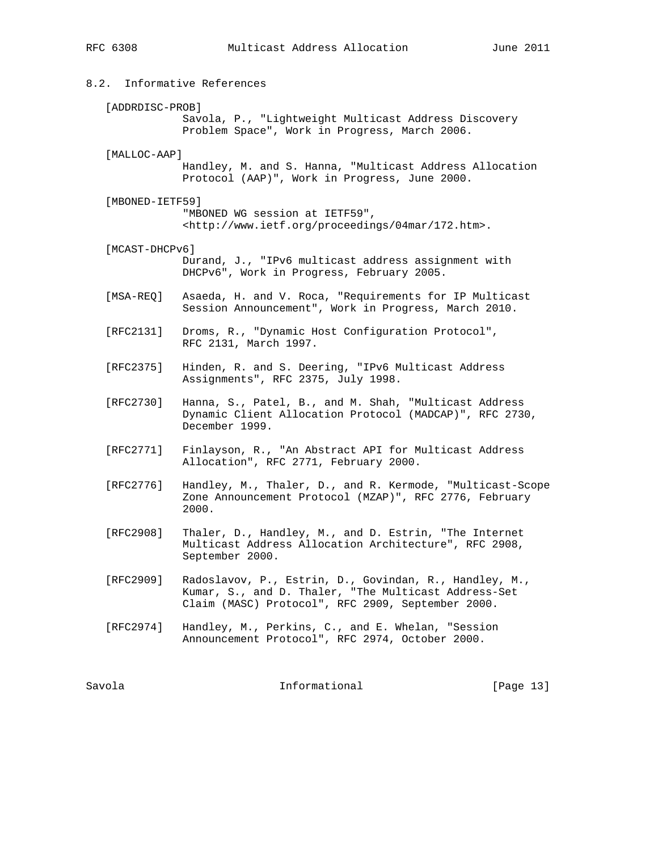8.2. Informative References [ADDRDISC-PROB] Savola, P., "Lightweight Multicast Address Discovery Problem Space", Work in Progress, March 2006. [MALLOC-AAP] Handley, M. and S. Hanna, "Multicast Address Allocation Protocol (AAP)", Work in Progress, June 2000. [MBONED-IETF59] "MBONED WG session at IETF59", <http://www.ietf.org/proceedings/04mar/172.htm>. [MCAST-DHCPv6] Durand, J., "IPv6 multicast address assignment with DHCPv6", Work in Progress, February 2005. [MSA-REQ] Asaeda, H. and V. Roca, "Requirements for IP Multicast Session Announcement", Work in Progress, March 2010. [RFC2131] Droms, R., "Dynamic Host Configuration Protocol", RFC 2131, March 1997. [RFC2375] Hinden, R. and S. Deering, "IPv6 Multicast Address Assignments", RFC 2375, July 1998. [RFC2730] Hanna, S., Patel, B., and M. Shah, "Multicast Address Dynamic Client Allocation Protocol (MADCAP)", RFC 2730, December 1999. [RFC2771] Finlayson, R., "An Abstract API for Multicast Address Allocation", RFC 2771, February 2000. [RFC2776] Handley, M., Thaler, D., and R. Kermode, "Multicast-Scope Zone Announcement Protocol (MZAP)", RFC 2776, February 2000. [RFC2908] Thaler, D., Handley, M., and D. Estrin, "The Internet Multicast Address Allocation Architecture", RFC 2908, September 2000. [RFC2909] Radoslavov, P., Estrin, D., Govindan, R., Handley, M., Kumar, S., and D. Thaler, "The Multicast Address-Set Claim (MASC) Protocol", RFC 2909, September 2000. [RFC2974] Handley, M., Perkins, C., and E. Whelan, "Session Announcement Protocol", RFC 2974, October 2000.

Savola **Informational** [Page 13]